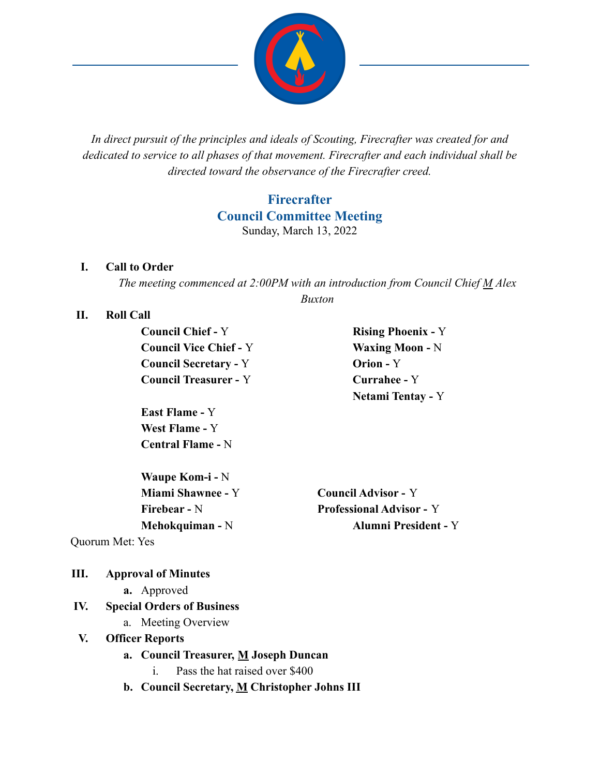

*In direct pursuit of the principles and ideals of Scouting, Firecrafter was created for and dedicated to service to all phases of that movement. Firecrafter and each individual shall be directed toward the observance of the Firecrafter creed.*

# **Firecrafter Council Committee Meeting** Sunday, March 13, 2022

#### **I. Call to Order**

*The meeting commenced at 2:00PM with an introduction from Council Chief M Alex Buxton*

#### **II. Roll Call**

**Council Chief -** Y **Rising Phoenix -** Y **Council Vice Chief -** Y **Waxing Moon -** N **Council Secretary -** Y **Orion -** Y **Council Treasurer -** Y **Currahee -** Y

**East Flame -** Y **West Flame -** Y **Central Flame -** N

**Waupe Kom-i -** N **Miami Shawnee -** Y **Council Advisor -** Y

**Netami Tentay -** Y

**Firebear -** N **Professional Advisor -** Y **Mehokquiman -** N **Alumni President -** Y

Quorum Met: Yes

#### **III. Approval of Minutes**

**a.** Approved

#### **IV. Special Orders of Business**

a. Meeting Overview

#### **V. Officer Reports**

- **a. Council Treasurer, M Joseph Duncan**
	- i. Pass the hat raised over \$400
- **b. Council Secretary, M Christopher Johns III**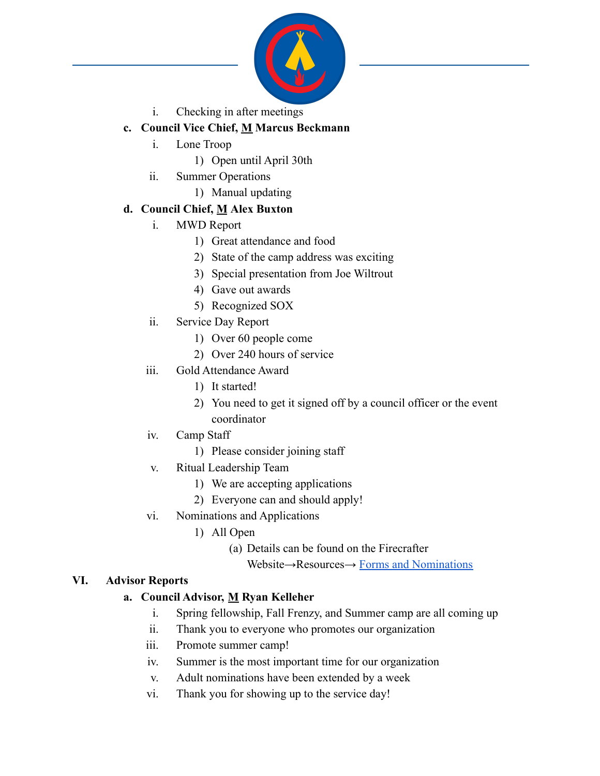

i. Checking in after meetings

## **c. Council Vice Chief, M Marcus Beckmann**

- i. Lone Troop
	- 1) Open until April 30th
- ii. Summer Operations
	- 1) Manual updating

### **d. Council Chief, M Alex Buxton**

- i. MWD Report
	- 1) Great attendance and food
	- 2) State of the camp address was exciting
	- 3) Special presentation from Joe Wiltrout
	- 4) Gave out awards
	- 5) Recognized SOX
- ii. Service Day Report
	- 1) Over 60 people come
	- 2) Over 240 hours of service
- iii. Gold Attendance Award
	- 1) It started!
	- 2) You need to get it signed off by a council officer or the event coordinator
- iv. Camp Staff
	- 1) Please consider joining staff
- v. Ritual Leadership Team
	- 1) We are accepting applications
	- 2) Everyone can and should apply!
- vi. Nominations and Applications
	- 1) All Open
		- (a) Details can be found on the Firecrafter
			- Website→Resources→ [Forms and Nominations](https://firecrafter38.wildapricot.org/page-18128)

#### **VI. Advisor Reports**

### **a. Council Advisor, M Ryan Kelleher**

- i. Spring fellowship, Fall Frenzy, and Summer camp are all coming up
- ii. Thank you to everyone who promotes our organization
- iii. Promote summer camp!
- iv. Summer is the most important time for our organization
- v. Adult nominations have been extended by a week
- vi. Thank you for showing up to the service day!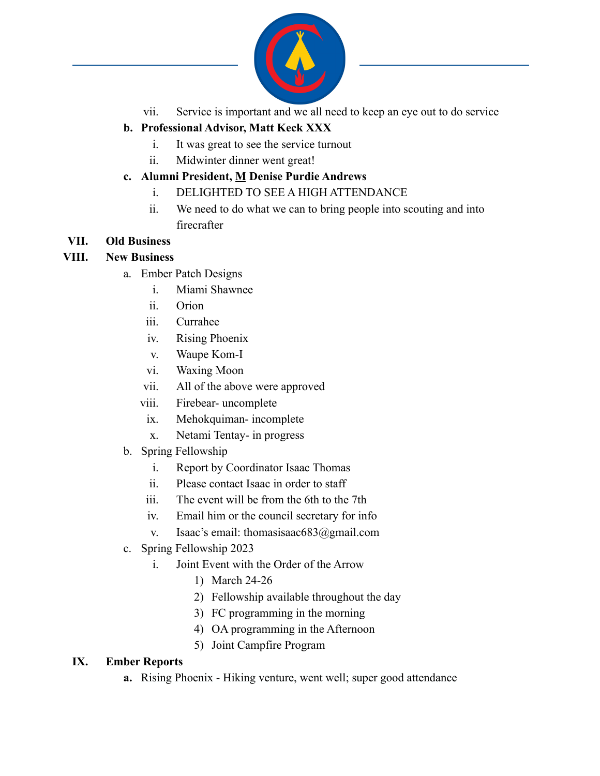

vii. Service is important and we all need to keep an eye out to do service

# **b. Professional Advisor, Matt Keck XXX**

- i. It was great to see the service turnout
- ii. Midwinter dinner went great!

### **c. Alumni President, M Denise Purdie Andrews**

- i. DELIGHTED TO SEE A HIGH ATTENDANCE
- ii. We need to do what we can to bring people into scouting and into firecrafter

### **VII. Old Business**

#### **VIII. New Business**

- a. Ember Patch Designs
	- i. Miami Shawnee
	- ii. Orion
	- iii. Currahee
	- iv. Rising Phoenix
	- v. Waupe Kom-I
	- vi. Waxing Moon
	- vii. All of the above were approved
	- viii. Firebear- uncomplete
	- ix. Mehokquiman- incomplete
	- x. Netami Tentay- in progress
- b. Spring Fellowship
	- i. Report by Coordinator Isaac Thomas
	- ii. Please contact Isaac in order to staff
	- iii. The event will be from the 6th to the 7th
	- iv. Email him or the council secretary for info
	- v. Isaac's email: thomasisaac683@gmail.com
- c. Spring Fellowship 2023
	- i. Joint Event with the Order of the Arrow
		- 1) March 24-26
		- 2) Fellowship available throughout the day
		- 3) FC programming in the morning
		- 4) OA programming in the Afternoon
		- 5) Joint Campfire Program

#### **IX. Ember Reports**

**a.** Rising Phoenix - Hiking venture, went well; super good attendance